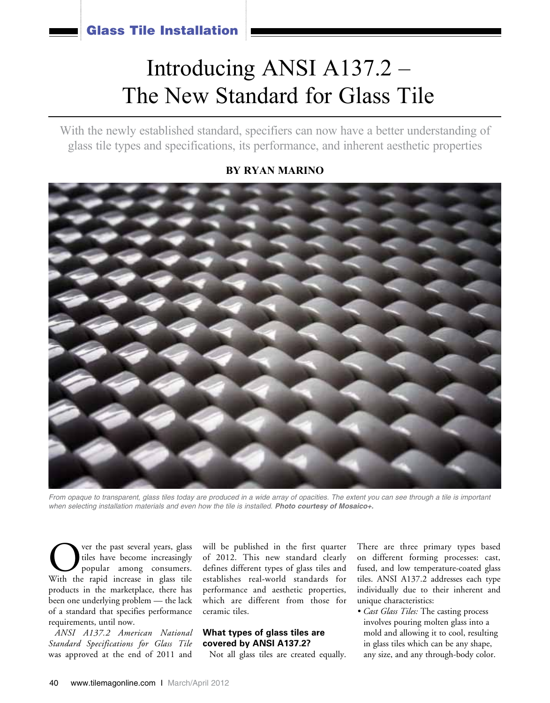# Introducing ANSI A137.2 – The New Standard for Glass Tile

With the newly established standard, specifiers can now have a better understanding of glass tile types and specifications, its performance, and inherent aesthetic properties

# **by Ryan Marino**



*From opaque to transparent, glass tiles today are produced in a wide array of opacities. The extent you can see through a tile is important when selecting installation materials and even how the tile is installed. Photo courtesy of Mosaico+.*

The past several years, glass<br>tiles have become increasingly<br>popular among consumers.<br>With the rapid increase in glass tile tiles have become increasingly popular among consumers. With the rapid increase in glass tile products in the marketplace, there has been one underlying problem — the lack of a standard that specifies performance requirements, until now.

*ANSI A137.2 American National Standard Specifications for Glass Tile* was approved at the end of 2011 and

will be published in the first quarter of 2012. This new standard clearly defines different types of glass tiles and establishes real-world standards for performance and aesthetic properties, which are different from those for ceramic tiles.

## **What types of glass tiles are covered by ANSI A137.2?**

Not all glass tiles are created equally.

There are three primary types based on different forming processes: cast, fused, and low temperature-coated glass tiles. ANSI A137.2 addresses each type individually due to their inherent and unique characteristics:

*• Cast Glass Tiles:* The casting process involves pouring molten glass into a mold and allowing it to cool, resulting in glass tiles which can be any shape, any size, and any through-body color.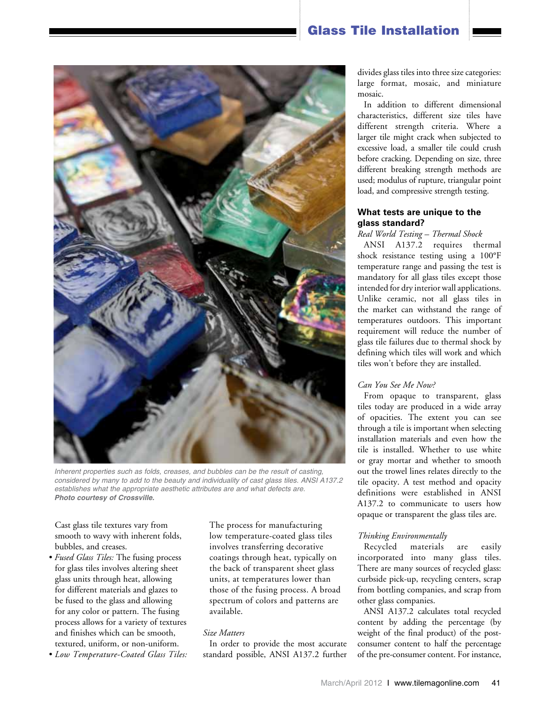# Glass Tile Installation



*Inherent properties such as folds, creases, and bubbles can be the result of casting, considered by many to add to the beauty and individuality of cast glass tiles. ANSI A137.2 establishes what the appropriate aesthetic attributes are and what defects are. Photo courtesy of Crossville.*

Cast glass tile textures vary from smooth to wavy with inherent folds, bubbles, and creases.

- *Fused Glass Tiles:* The fusing process for glass tiles involves altering sheet glass units through heat, allowing for different materials and glazes to be fused to the glass and allowing for any color or pattern. The fusing process allows for a variety of textures and finishes which can be smooth, textured, uniform, or non-uniform.
- *Low Temperature-Coated Glass Tiles:*

The process for manufacturing low temperature-coated glass tiles involves transferring decorative coatings through heat, typically on the back of transparent sheet glass units, at temperatures lower than those of the fusing process. A broad spectrum of colors and patterns are available.

#### *Size Matters*

In order to provide the most accurate standard possible, ANSI A137.2 further divides glass tiles into three size categories: large format, mosaic, and miniature mosaic.

In addition to different dimensional characteristics, different size tiles have different strength criteria. Where a larger tile might crack when subjected to excessive load, a smaller tile could crush before cracking. Depending on size, three different breaking strength methods are used; modulus of rupture, triangular point load, and compressive strength testing.

## **What tests are unique to the glass standard?**

# *Real World Testing – Thermal Shock* ANSI A137.2 requires thermal

shock resistance testing using a 100°F temperature range and passing the test is mandatory for all glass tiles except those intended for dry interior wall applications. Unlike ceramic, not all glass tiles in the market can withstand the range of temperatures outdoors. This important requirement will reduce the number of glass tile failures due to thermal shock by defining which tiles will work and which tiles won't before they are installed.

## *Can You See Me Now?*

From opaque to transparent, glass tiles today are produced in a wide array of opacities. The extent you can see through a tile is important when selecting installation materials and even how the tile is installed. Whether to use white or gray mortar and whether to smooth out the trowel lines relates directly to the tile opacity. A test method and opacity definitions were established in ANSI A137.2 to communicate to users how opaque or transparent the glass tiles are.

## *Thinking Environmentally*

Recycled materials are easily incorporated into many glass tiles. There are many sources of recycled glass: curbside pick-up, recycling centers, scrap from bottling companies, and scrap from other glass companies.

ANSI A137.2 calculates total recycled content by adding the percentage (by weight of the final product) of the postconsumer content to half the percentage of the pre-consumer content. For instance,